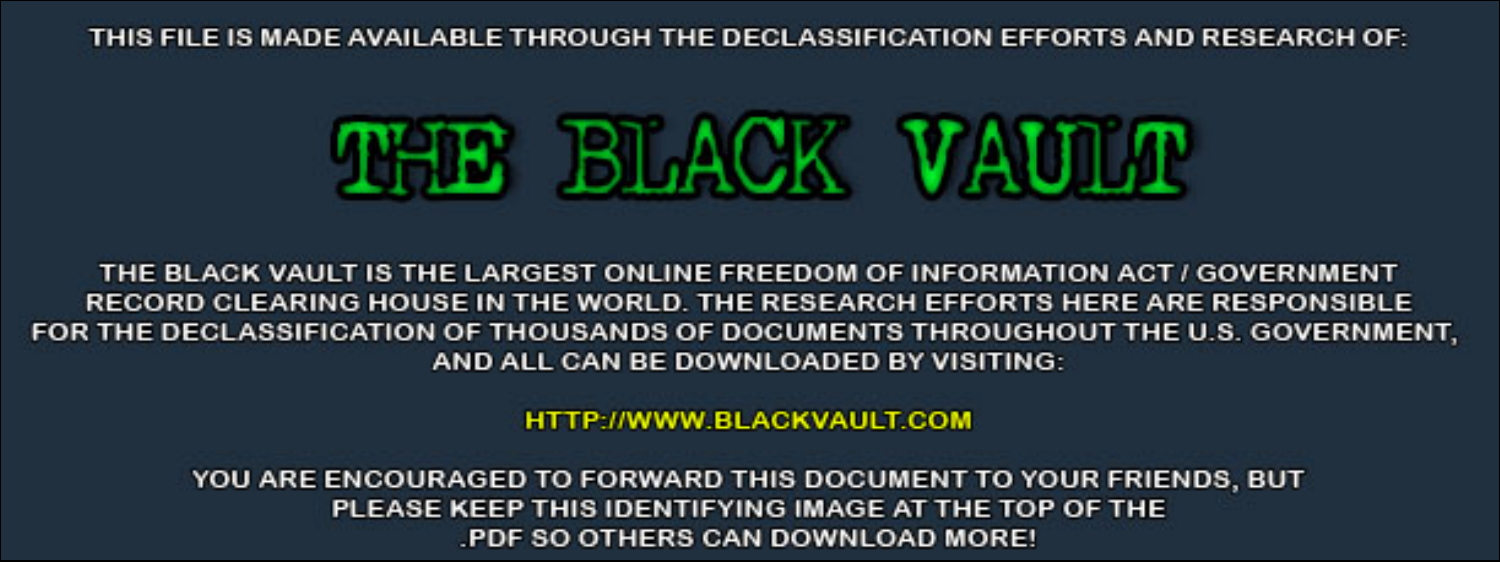THIS FILE IS MADE AVAILABLE THROUGH THE DECLASSIFICATION EFFORTS AND RESEARCH OF:



THE BLACK VAULT IS THE LARGEST ONLINE FREEDOM OF INFORMATION ACT / GOVERNMENT RECORD CLEARING HOUSE IN THE WORLD. THE RESEARCH EFFORTS HERE ARE RESPONSIBLE FOR THE DECLASSIFICATION OF THOUSANDS OF DOCUMENTS THROUGHOUT THE U.S. GOVERNMENT, AND ALL CAN BE DOWNLOADED BY VISITING:

**HTTP://WWW.BLACKVAULT.COM** 

YOU ARE ENCOURAGED TO FORWARD THIS DOCUMENT TO YOUR FRIENDS, BUT PLEASE KEEP THIS IDENTIFYING IMAGE AT THE TOP OF THE PDF SO OTHERS CAN DOWNLOAD MORE!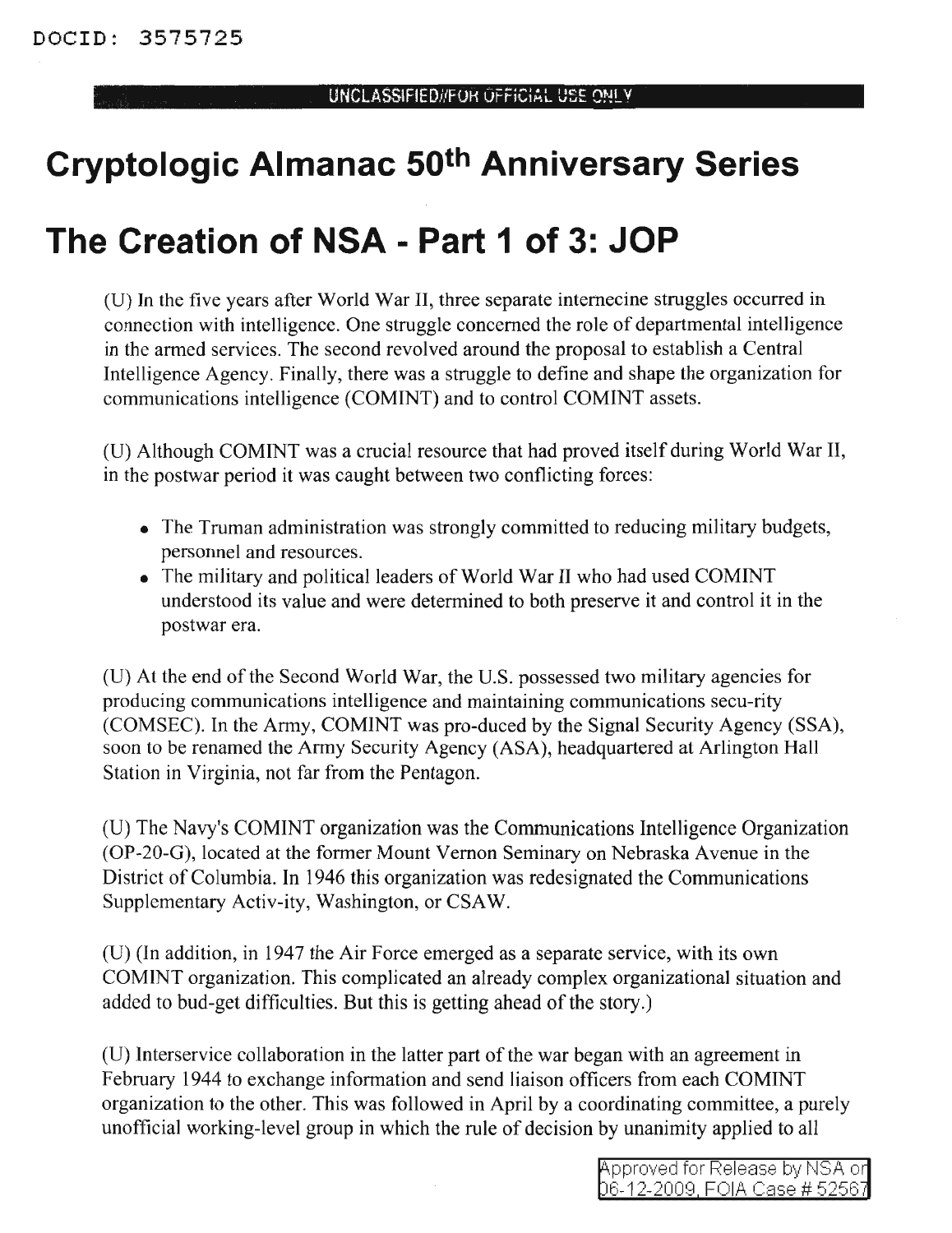## **Cryptologic Almanac 50th Anniversary Series**

## **The Creation of NSA · Part 1 of 3: JOP**

(U) In the five years after World War II, three separate internecine struggles occurred in connection with intelligence. One struggle concerned the role of departmental intelligence in the armed services. The second revolved around the proposal to establish a Central Intelligence Agency. Finally, there was a struggle to define and shape the organization for communications intelligence (COMINT) and to control COMINT assets.

(U) Although COMINT was a crucial resource that had proved itself during World War II, in the postwar period it was caught between two conflicting forces:

- The Truman administration was strongly committed to reducing military budgets, personnel and resources.
- The military and political leaders of World War II who had used COMINT understood its value and were determined to both preserve it and control it in the postwar era.

(U) At the end of the Second World War, the U.S. possessed two military agencies for producing communications intelligence and maintaining communications secu-rity (COMSEC). In the Army, COMINT was pro-duced by the Signal Security Agency (SSA), soon to be renamed the Army Security Agency (ASA), headquartered at Arlington Hall Station in Virginia, not far from the Pentagon.

(D) The Navy's COMINT organization was the Communications Intelligence Organization (OP-20-G), located at the former Mount Vernon Seminary on Nebraska Avenue in the District of Columbia. In 1946 this organization was redesignated the Communications Supplementary Activ-ity, Washington, or CSAW.

(U) (In addition, in 1947 the Air Force emerged as a separate service, with its own COMINT organization. This complicated an already complex organizational situation and added to bud-get difficulties. But this is getting ahead of the story.)

(D) Interservice collaboration in the latter part ofthe war began with an agreement in February 1944 to exchange information and send liaison officers from each COMINT organization to the other. This was followed in April by a coordinating committee, a purely unofficial working-level group in which the rule of decision by unanimity applied to all